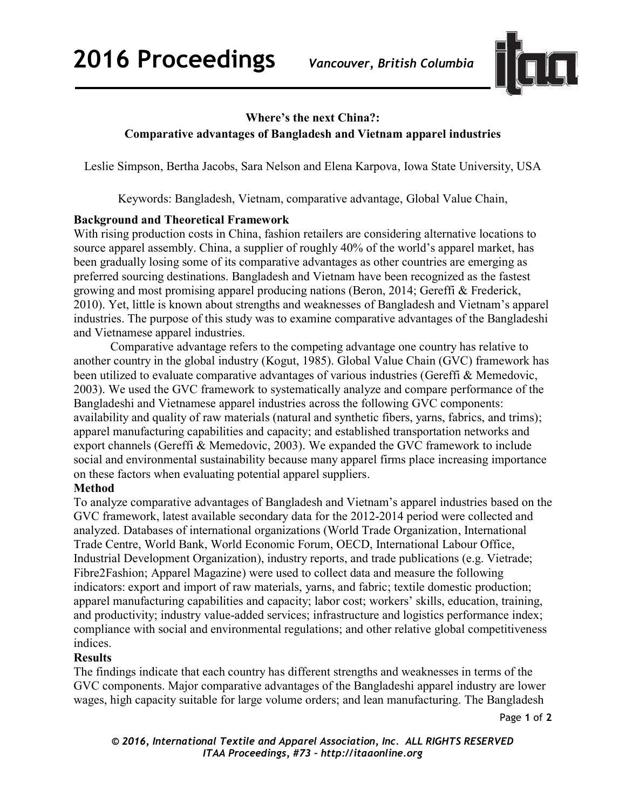

# **Where's the next China?: Comparative advantages of Bangladesh and Vietnam apparel industries**

Leslie Simpson, Bertha Jacobs, Sara Nelson and Elena Karpova, Iowa State University, USA

Keywords: Bangladesh, Vietnam, comparative advantage, Global Value Chain,

#### **Background and Theoretical Framework**

With rising production costs in China, fashion retailers are considering alternative locations to source apparel assembly. China, a supplier of roughly 40% of the world's apparel market, has been gradually losing some of its comparative advantages as other countries are emerging as preferred sourcing destinations. Bangladesh and Vietnam have been recognized as the fastest growing and most promising apparel producing nations (Beron, 2014; Gereffi & Frederick, 2010). Yet, little is known about strengths and weaknesses of Bangladesh and Vietnam's apparel industries. The purpose of this study was to examine comparative advantages of the Bangladeshi and Vietnamese apparel industries.

Comparative advantage refers to the competing advantage one country has relative to another country in the global industry (Kogut, 1985). Global Value Chain (GVC) framework has been utilized to evaluate comparative advantages of various industries (Gereffi & Memedovic, 2003). We used the GVC framework to systematically analyze and compare performance of the Bangladeshi and Vietnamese apparel industries across the following GVC components: availability and quality of raw materials (natural and synthetic fibers, yarns, fabrics, and trims); apparel manufacturing capabilities and capacity; and established transportation networks and export channels (Gereffi & Memedovic, 2003). We expanded the GVC framework to include social and environmental sustainability because many apparel firms place increasing importance on these factors when evaluating potential apparel suppliers.

#### **Method**

To analyze comparative advantages of Bangladesh and Vietnam's apparel industries based on the GVC framework, latest available secondary data for the 2012-2014 period were collected and analyzed. Databases of international organizations (World Trade Organization, International Trade Centre, World Bank, World Economic Forum, OECD, International Labour Office, Industrial Development Organization), industry reports, and trade publications (e.g. Vietrade; Fibre2Fashion; Apparel Magazine) were used to collect data and measure the following indicators: export and import of raw materials, yarns, and fabric; textile domestic production; apparel manufacturing capabilities and capacity; labor cost; workers' skills, education, training, and productivity; industry value-added services; infrastructure and logistics performance index; compliance with social and environmental regulations; and other relative global competitiveness indices.

### **Results**

The findings indicate that each country has different strengths and weaknesses in terms of the GVC components. Major comparative advantages of the Bangladeshi apparel industry are lower wages, high capacity suitable for large volume orders; and lean manufacturing. The Bangladesh

Page **1** of **2** 

*© 2016, International Textile and Apparel Association, Inc. ALL RIGHTS RESERVED ITAA Proceedings, #73 – http://itaaonline.org*